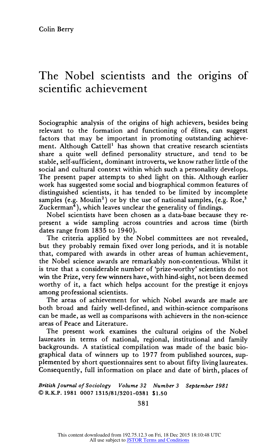# **The Nobel scientists and the origins of sclentlhc achlevement**

**Sociographic analysis of the origins of high achievers, besides being relevant to the formation and functioning of elites, can suggest factors that may be important in promoting outstanding achieve**ment. Although Cattell<sup>1</sup> has shown that creative research scientists **share a quite well defined personality structure, and tend to be stable, self-sufficient, dominant introverts, we know rather little of the social and cultural context within which such a personality develops. The present paper attempts to shed light on this. Although earlier work has suggested some social and biographical common features of distinguished scientists, it has tended to be limited by incomplete**  samples (e.g. Moulin<sup>2</sup>) or by the use of national samples, (e.g. Roe,<sup>3</sup> **Zuckerman4), which leaves unclear the generality of findings.** 

**Nobel scientists have been chosen as a data-base because they represent a wide sampling across countries and across time (birth dates range from 1835 to 1940).** 

**The criteria applied by the Nobel committees are not revealed, but they probably remain fixed over long periods, and it is notable that, compared with awards in other areas of human achievement, the Nobel science awards are remarkably non-contentious. Whilst it is true that a considerable number of 'prize-worthy' scientists do not win the Prize, very few winners have, with hind-sight, not been deemed worthy of it, a fact which helps account for the prestige it enjoys among professional scientists.** 

**The areas of achievement for which Nobel awards are made are both broad and fairly well-defined, and within-science comparisons can be made, as well as comparisons with achievers in the non-science areas of Peace and Literature.** 

**The present work examines the cultural origins of the Nobel laureates in terms of national, regional, institutional and family backgrounds. A statistical compilation was made of the basic biographical data of winners up to 1977 from published sources, sup**plemented by short questionnaires sent to about fifty living laureates. **Consequently, full information on place and date of birth, places of** 

**British Journal of Sociology Volume 32 Number 3 September 1981 C)R.K.P. 1981 0007 1315/81/3201-0381 \$1.50** 

**381**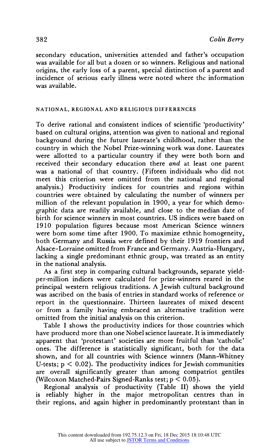S82<br>
Colin Berry<br>
secondary education, universities attended and father's occupation<br>
was available for all but a dozen or so winners. Religious and national<br>
origins, the early loss of a parent, special distinction of a p was available.

## **NATIONAL, REGIONAL AND RELIGIOUS DIFFERENCES**

NATIONAL, REGIONAL AND RELIGIOUS DIFFERENCES<br>To derive rational and consistent indices of scientific 'productivity'<br>based on cultural origins, attention was given to national and regional<br>background during the future laur graphic data are readily available, and close to the median date of<br>birth for science winners in most countries. US indices were based of<br>1910 population figures because most American Science winnes<br>were born some time aft

principal western religious traditions. A Jewish cultural backgro<br>was ascribed on the basis of entries in standard works of reference<br>report in the questionnaire. Thirteen laureates of mixed descort from a family having e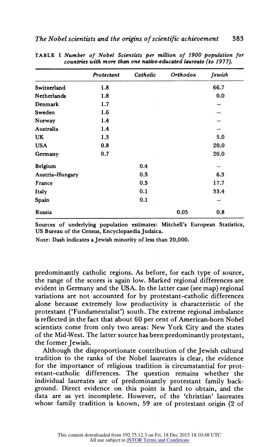|                 | Protestant | Catholic | Orthodox | Jewish |
|-----------------|------------|----------|----------|--------|
| Switzerland     | 1.8        |          |          | 66.7   |
| Netherlands     | 1.8        |          |          | 0.0    |
| Denmark         | 1.7        |          |          |        |
| Sweden          | 1.6        |          |          |        |
| Norway          | 1.4        |          |          |        |
| Australia       | 1.4        |          |          |        |
| UK              | 1.3        |          |          | 5.0    |
| <b>USA</b>      | 0.8        |          |          | 20.0   |
| Germany         | 0.7        |          |          | 20.0   |
| Belgium         |            | 0.4      |          |        |
| Austria-Hungary |            | 0.3      |          | 6.3    |
| France          |            | 0.3      |          | 17.7   |
| Italy           |            | 0.1      |          | 33.4   |
| Spain           |            | 0.1      |          |        |
| Russia          |            |          | 0.05     | 0.8    |

**TABLE I Number of Nobel Scientists per million of 1900 population for countries with more than one native-educated laureate (to 1977).** 

**Sources of underlying population estimates: Mitchell's European Statistics, US Bureau of the Census, EncyclopaediaJudaica.** 

**Note: Dash indicates aJewish minority of less than 20,000.** 

**predominantly catholic regions. As before, for each type of source, the range of the scores is again low. Marked regional differences are evident in Germany and the USA. In the latter case (see map) regional**  variations are not accounted for by protestant-catholic differences **alone because extremely low productivity is characteristic of the protestant ('Fundamentalist') south. The extreme regional imbalance is reflected in the fact that about 60 per cent of American-born Nobel scientists come from only two areas: New York City and the states of the Mid-West. The latter source has been predominantly protpstant,**  the former Jewish.

**Although the disproportionate contribution of the Jewish cultural tradition to the ranks of the Nobel laureates is clear, the evidence for the importance of religious tradition is circumstantial for protestant-catholic differences. The question remains whether the individual laureates are of predominantly protestant family background. Direct evidence on this point is hard to obtain, and the data are as yet incomplete. However, of the 'christian' laureates whose family tradition is known, 59 are of protestant origin (2 of**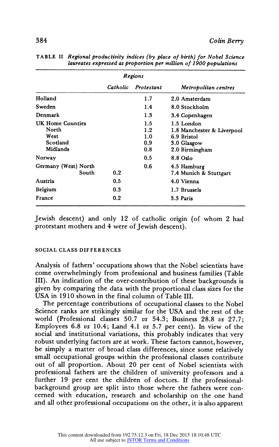|                                                           | Regions  |                                 |                                                                                          |
|-----------------------------------------------------------|----------|---------------------------------|------------------------------------------------------------------------------------------|
|                                                           | Catholic | Protestant                      | Metropolitan centres                                                                     |
| Holland                                                   |          | 1.7                             | 2.0 Amsterdam                                                                            |
| Sweden                                                    |          | 1.4                             | 8.0 Stockholm                                                                            |
| Denmark                                                   |          | 1.3                             | 3.4 Copenhagen                                                                           |
| UK Home Counties<br>North<br>West<br>Scotland<br>Midlands |          | 1.5<br>1.2<br>1.0<br>0.9<br>0.8 | 1.5 London<br>1.8 Manchester & Liverpool<br>6.9 Bristol<br>3.0 Glasgow<br>2.0 Birmingham |
| Norway                                                    |          | 0.5                             | $8.8$ Oslo                                                                               |
| Germany (West) North<br>South                             | 0.2      | 0.6                             | 4.5 Hamburg<br>7.4 Munich & Stuttgart                                                    |
| Austria                                                   | 0.5      |                                 | 4.0 Vienna                                                                               |
| Belgium                                                   | 0.3      |                                 | 1.7 Brussels                                                                             |
| France                                                    | 0.2      |                                 | 3.3 Paris                                                                                |

**TABLE II Regional productivity indices (by place of birth) for Nobel Science laureates expressed as proportion per million of 1900 populations** 

**Jewish descent) and only 12 of catholic origin (of whom 2 had protestant mothers and 4 were of Jewish descent).** 

#### **SOCIAL CLASS DIFFERENCES**

**Analysis of fathers' occupations shows that the Nobel scientists have come overwhelmingly from professional and business families (Table III). An indication of the over-contribution of these backgrounds is given by comparing the data with the proportional class sizes for the USA in 1910 shown in the final column of Table III.** 

**The percentage contributions of occupational classes to the Nobel Science ranks are strikingly similar for the USA and the rest of the world (Professional classes 50.7 vs 54.3; Business 28.8 vs 27.7; Employees 6.8 vs 10.4; Land 4.1 vs 5.7 per cent). In view of the social and institutional variations, this probably indicates that very robust underlying factors are at work. These factors cannot, however, be simply a matter of broad class differences, since some relatively small occupational groups within the professional classes contribute out of all proportion. About 20 per cent of Nobel scientists with professional fathers are the children of university professors and a**  further 19 per cent the children of doctors. If the professional**background group are split into those where the fathers were concerned with education, research and scholarship on the one hand and all other professional occupations on the other, it is also apparent**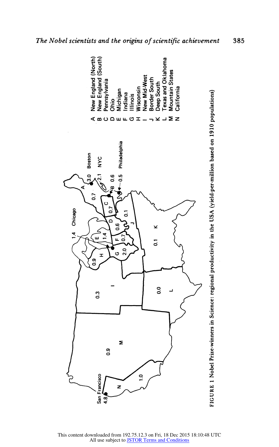

The Nobel scientists and the origins of scientific achievement

This content downloaded from 192.75.12.3 on Fri, 18 Dec 2015 18:10:48 UTC<br>All use subject to JSTOR Terms and Conditions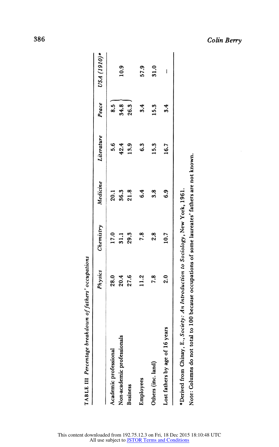Colin Berry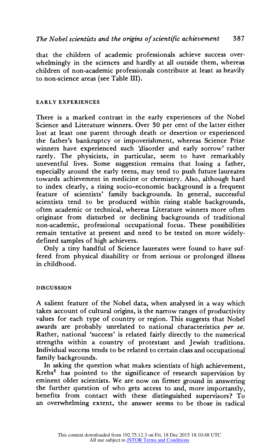**that the children of academic professionals achieve success overwhelmingly in the sciences and hardly at all outside them, whereas children of non-academic professionals contribute at least as heavily**  to non-science areas (see Table III).

### **EARLY EXPERIENCES**

**There is a marked contrast in the early experiences of the Nobel**  Science and Literature winners. Over 30 per cent of the latter either **lost at least one parent through death or desertion or experienced the father's bankruptcy or impoverishment, whereas Science Prize**  winners have experienced such 'disorder and early sorrow' rather **rarely. The physicists, in particular, seem to have remarkably uneventful lives. Some suggestion remains that losing a father, especially around the early teens, may tend to push future laureates towards achievement in medicine or chemistry. Also, although hard to index clearly, a rising socio-economic background is a frequent feature of scientists' family backgrounds. In general, successful scientists tend to be produced within rising stable backgrounds, often academic or technical, whereas Literature winners more often originate from disturbed or declining backgrounds of traditional non-academic, professional occupational focus. These possibilities remain tentative at present and need to be tested on more widelydefined samples of high achievers.** 

**Only a tiny handful of Science laureates were found to have suffered from physical disability or from serious or prolonged illness in childhood.** 

#### **DISCUSSION**

**A salient feature of the Nobel data, when analysed in a way which takes account of cultural origins, is the narrow ranges of productivity values for each type of country or region. This suggests that Nobel awards are probably unrelated to national characteristics per se. Rather, national 'success' is related fairly directly to the numerical strengths within a country of protestant and Jewish traditions. Individual success tends to be related to certain class and occupational family backgrounds.** 

**In asking the question what makes scientists of high achievement,**  Krebs<sup>5</sup> has pointed to the significance of research supervision by **eminent older scientists. We are now on firmer ground in answering**  the further question of who gets access to and, more importantly, **benefits from contact with these distinguished supervisors? To an overwhelming extent, the answer seems to be those in radical**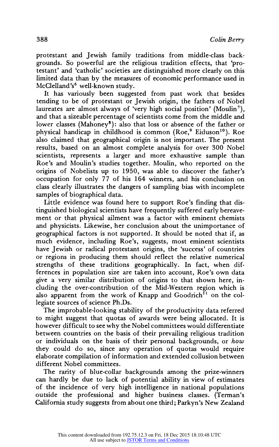**protestant and Jewish family traditions from middle-class backgrounds. So powerful are the religious tradition effects, that 'protestant' and 'catholic' societies are distinguished more clearly on this limited data than by the measures of economic performance used in McClelland's6 well-known study.** 

**It has variously been suggested from past work that besides tending to be of protestant or Jewish origin, the fathers of Nobel laureates are almost always of 'very high social position' (Moulin7), and that a sizeable percentage of scientists come from the middle and**  lower classes (Mahoney<sup>8</sup>): also that loss or absence of the father or physical handicap in childhood is common (Roe,<sup>9</sup> Eiduson<sup>10</sup>). Roe **also claimed that geographical origin is not important. The present results, based on an almost complete analysis for over 300 Nobel scientists, represents a larger and more exhaustive sample than Roe's and Moulin's studies together. Moulin, who reported on the origins of Nobelists up to 1950, was able to discover the father's occupation for only 77 of his 164 winners, and his conclusion on class clearly illustrates the dangers of sampling bias with incomplete samples of biographical data.** 

**Little evidence was found here to support Roe's finding that distinguished biological scientists have frequently suffered early bereavement or that physical ailment was a factor with eminent chemists and physicists. Likewise, her conclusion about the unimportance of geographical factors is not supported. It should be noted that if, as much evidence, including Roe's, suggests, most eminent scientists**  have Jewish or radical protestant origins, the 'success' of countries **or regions in producing them should reflect the relative numerical strengths of these traditions geographically. In fact, when differences in population size are taken into account, Roe's own data give a very similar distribution of origins to that shown here, including the over-contribution of the Mid-Western region which is**  also apparent from the work of Knapp and Goodrich<sup>11</sup> on the col**legiate sources of science Ph.Ds.** 

**The improbable-looking stability of the productivity data referred to might suggest that quotas of awards were being allocated. It is however difficult to see why the Nobel committees would differentiate between countries on the basis of their prevailing religious tradition or individuals on the basis of their personal backgrounds, or how they could do so, since any operation of quotas would require elaborate compilation of information and extended collusion between different Nobel committees.** 

The rarity of blue-collar backgrounds among the prize-winners **can hardly be due to lack of potential ability in view of estimates of the incidence of very high intelligence in national populations outside the professional and higher business classes. (Terman's California study suggests from about one third; Parkyn's New Zealand**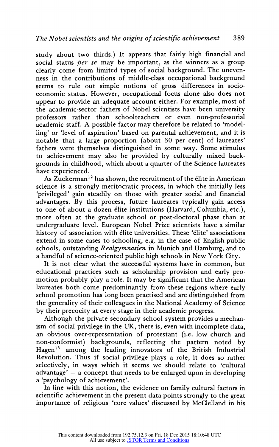**study about two thirds.) It appears that fairly high financial and social status per se may be important, as the winners as a group clearly come from limited types of social background. The unevenness in the contributions of middle-class occupational background seems to rule out simple notions of gross differences in socioeconomic status. However, occupational focus alone also does not appear to provide an adequate account either. For example, most of the academic-sector fathers of Nobel scientists have been university professors rather than schoolteachers or even non-professorial academic staff. A possible factor may therefore be related to 'modelling' or 'level of aspiration' based on parental achievement, and it is notable that a large proportion (about 30 per cent) of laureates' fathers were themselves distinguished in some way. Some stimulus to achievement may also be provided by culturally mixed backgrounds in childhood, which about a quarter of the Science laureates have experienced.** 

**As Zuckerman12 has shown, the recruitment of the elite in American science is a strongly meritocratic process, in which the initially less 'privileged' gain steadily on those with greater social and financial advantages. By this process, future laureates typically gain access to one of about a dozen elite institutions (Harvard, Columbia, etc.), more often at the graduate school or post-doctoral phase than at undergraduate level. European Nobel Prize scientists have a similar history of association with elite universities. These 'elite' associations extend in some cases to schooling, e.g. in the case of English public schools, outstanding Realgymnasien in NIunich and Hamburg, and to a handful of science-oriented public high schools in New York City.** 

**It is not clear what the successful systems have in common, but educational practices such as scholarship provision and early promotion probably play a role. It may be significant that the American laureates both come predominantly from these regions where early school promotion has long been practised and are distinguished from the generality of their colleagues in the National Academy of Science by their precocity at every stage in their academic progress.** 

**Although the private secondary school system provides a mechanism of social privilege in the UK, there is, even with incomplete data, an obvious over-representation of protestant (i.e. Iow church and non-conformist) backgrounds, reflecting the pattern noted by Hagen13 among the leading innovators of the British Industrial Revolution. Thus if social privilege plays a role, it does so rather selectively, in ways which it seems we should relate to 'cultural advantage'-a concept that needs to be enlarged upon in developing a 'psychology of achievement'.** 

**b line with this notion, the evidence on family cultural factors in scientific achievement in the present data points strongly to the great importance of religious 'core values' discussed by McClelland in his**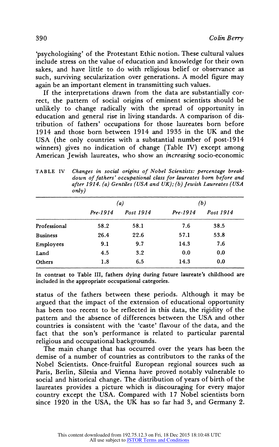**'psychologising' of the Protestant Ethic notion. These cultural values include stress on the value of education and knowledge for their own sakes, and have little to do with religious belief or observance as such, surviving secularization over generations. A model figure may again be an important element in transmitting such values.** 

**If the interpretations drawn from the data are substantially correct, the pattern of social origins of eminent scientists should be unlikely to change radically with the spread of opportunity in education and general rise in living standards. A comparison of distribution of fathers' occupations for those laureates born before 1914 and those born between 1914 and 1935 in the UK and the USA (the only countries with a substantial number of post-1914 winners) gives no indication of change (Table IV) except among American Jewish laureates, who show an increasing socio-economic** 

TABLE IV Changes in social origins of Nobel Scientists: percentage break**down of fathers' occupational class for laureates born before and after 1914. (a) Gentiles (USA and UK); (b) Jewish Laureates (USA only)** 

|                 | (a)      |           | (b)        |           |  |
|-----------------|----------|-----------|------------|-----------|--|
|                 | Pre-1914 | Post 1914 | $Pre-1914$ | Post 1914 |  |
| Professional    | 58.2     | 58.1      | 7.6        | 38.5      |  |
| <b>Business</b> | 26.4     | 22.6      | 57.1       | 53.8      |  |
| Employees       | 9.1      | 9.7       | 14.3       | 7.6       |  |
| Land            | 4.5      | 3.2       | 0.0        | 0.0       |  |
| Others          | 1.8      | 6.5       | 14.3       | 0.0       |  |

**In contrast to Table III, fathers dying during future laureate's childhood are included in the appropriate occupational categories.** 

**status of the fathers between these periods. Although it may be argued that the impact of the extension of educational opportunity has been too recent to be reflected in this data, the rigidity of the pattern and the absence of differences between the USA and other**  countries is consistent with the 'caste' flavour of the data, and the **fact that the son's performance is related to particular parental religious and occupational backgrounds.** 

**The main change that has occurred over the years has been the demise of a number of countries as contributors to the ranks of the**  Nobel Scientists. Once-fruitful European regional sources such as **Paris, Berlin, Silesia and Vienna have proved notably vulnerable to social and historical change. The distribution of years of birth of the laureates provides a picture which is discouraging for every major**  country except the USA. Compared with 17 Nobel scientists born **since 1920 in the USA, the UK has so far had 3, and Germany 2.**